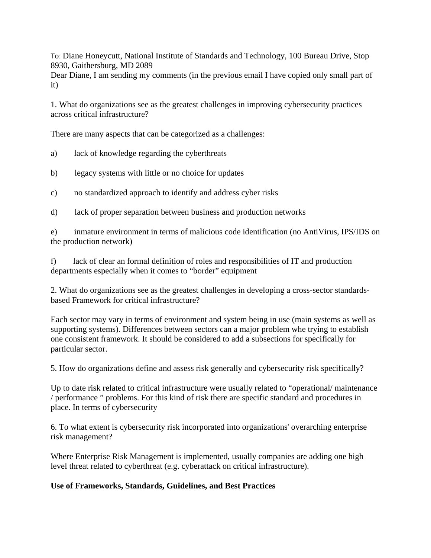To: Diane Honeycutt, National Institute of Standards and Technology, 100 Bureau Drive, Stop 8930, Gaithersburg, MD 2089

Dear Diane, I am sending my comments (in the previous email I have copied only small part of it)

1. What do organizations see as the greatest challenges in improving cybersecurity practices across critical infrastructure?

There are many aspects that can be categorized as a challenges:

- a) lack of knowledge regarding the cyberthreats
- b) legacy systems with little or no choice for updates
- c) no standardized approach to identify and address cyber risks
- d) lack of proper separation between business and production networks

e) inmature environment in terms of malicious code identification (no AntiVirus, IPS/IDS on the production network)

f) lack of clear an formal definition of roles and responsibilities of IT and production departments especially when it comes to "border" equipment

2. What do organizations see as the greatest challenges in developing a cross-sector standardsbased Framework for critical infrastructure?

Each sector may vary in terms of environment and system being in use (main systems as well as supporting systems). Differences between sectors can a major problem whe trying to establish one consistent framework. It should be considered to add a subsections for specifically for particular sector.

5. How do organizations define and assess risk generally and cybersecurity risk specifically?

Up to date risk related to critical infrastructure were usually related to "operational/ maintenance / performance " problems. For this kind of risk there are specific standard and procedures in place. In terms of cybersecurity

6. To what extent is cybersecurity risk incorporated into organizations' overarching enterprise risk management?

Where Enterprise Risk Management is implemented, usually companies are adding one high level threat related to cyberthreat (e.g. cyberattack on critical infrastructure).

## **Use of Frameworks, Standards, Guidelines, and Best Practices**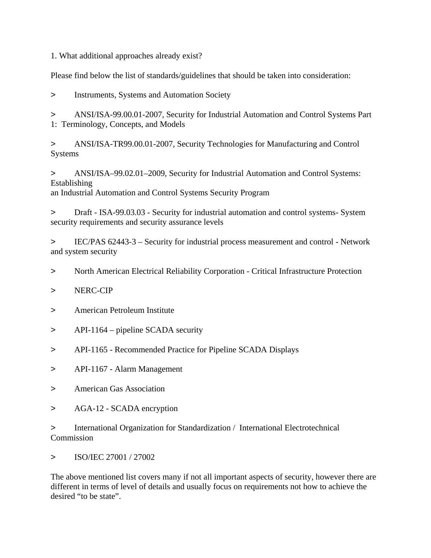1. What additional approaches already exist?

Please find below the list of standards/guidelines that should be taken into consideration:

> Instruments, Systems and Automation Society

> ANSI/ISA-99.00.01-2007, Security for Industrial Automation and Control Systems Part 1: Terminology, Concepts, and Models

> ANSI/ISA-TR99.00.01-2007, Security Technologies for Manufacturing and Control Systems

> ANSI/ISA–99.02.01–2009, Security for Industrial Automation and Control Systems: Establishing an Industrial Automation and Control Systems Security Program

> Draft - ISA-99.03.03 - Security for industrial automation and control systems- System security requirements and security assurance levels

> IEC/PAS 62443-3 – Security for industrial process measurement and control - Network and system security

> North American Electrical Reliability Corporation - Critical Infrastructure Protection

- > NERC-CIP
- > American Petroleum Institute
- > API-1164 pipeline SCADA security
- > API-1165 Recommended Practice for Pipeline SCADA Displays
- > API-1167 Alarm Management
- > American Gas Association
- > AGA-12 SCADA encryption

> International Organization for Standardization / International Electrotechnical Commission

> ISO/IEC 27001 / 27002

The above mentioned list covers many if not all important aspects of security, however there are different in terms of level of details and usually focus on requirements not how to achieve the desired "to be state".